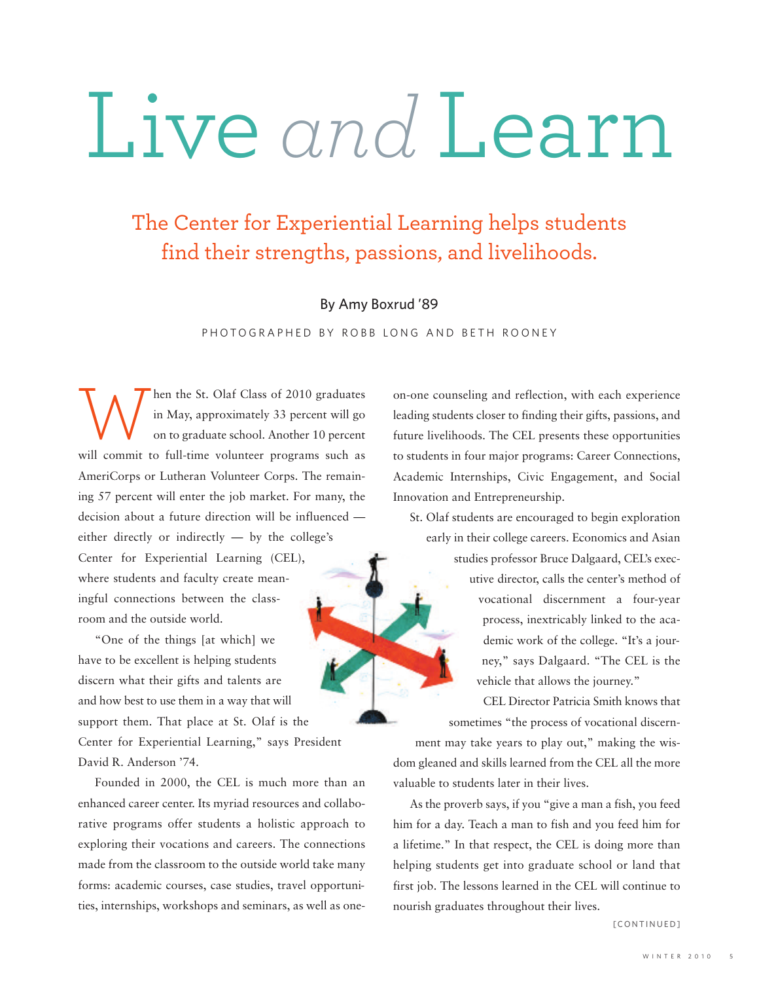# Live *and* Learn

## The Center for Experiential Learning helps students find their strengths, passions, and livelihoods.

#### By Amy Boxrud '89

PHOTOGRAPHED BY ROBB LONG AND BETH ROONEY

hen the St. Olaf Class of 2010 graduates in May, approximately 33 percent will go on to graduate school. Another 10 percent will commit to full-time volunteer programs such as AmeriCorps or Lutheran Volunteer Corps. The remaining 57 percent will enter the job market. For many, the decision about a future direction will be influenced either directly or indirectly — by the college's Center for Experiential Learning (CEL), where students and faculty create meaningful connections between the classroom and the outside world.

"One of the things [at which] we have to be excellent is helping students discern what their gifts and talents are and how best to use them in a way that will support them. That place at St. Olaf is the Center for Experiential Learning," says President David R. Anderson '74.

Founded in 2000, the CEL is much more than an enhanced career center. Its myriad resources and collaborative programs offer students a holistic approach to exploring their vocations and careers. The connections made from the classroom to the outside world take many forms: academic courses, case studies, travel opportunities, internships, workshops and seminars, as well as one-

on-one counseling and reflection, with each experience leading students closer to finding their gifts, passions, and future livelihoods. The CEL presents these opportunities to students in four major programs: Career Connections, Academic Internships, Civic Engagement, and Social Innovation and Entrepreneurship.

St. Olaf students are encouraged to begin exploration early in their college careers. Economics and Asian

> studies professor Bruce Dalgaard, CEL's executive director, calls the center's method of vocational discernment a four-year process, inextricably linked to the academic work of the college. "It's a journey," says Dalgaard. "The CEL is the vehicle that allows the journey."

CEL Director Patricia Smith knows that sometimes "the process of vocational discern-

ment may take years to play out," making the wisdom gleaned and skills learned from the CEL all the more valuable to students later in their lives.

As the proverb says, if you "give a man a fish, you feed him for a day. Teach a man to fish and you feed him for a lifetime." In that respect, the CEL is doing more than helping students get into graduate school or land that first job. The lessons learned in the CEL will continue to nourish graduates throughout their lives.

[CO N TI N UE D]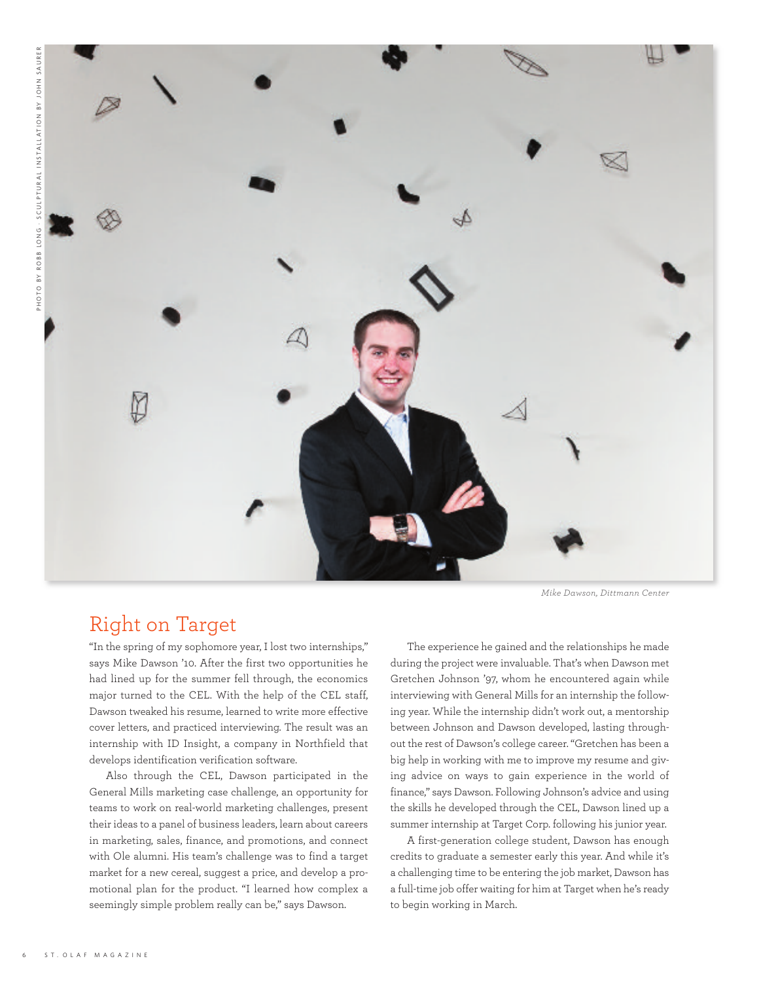

*Mike Dawson, Dittmann Center*

#### Right on Target

"In the spring of my sophomore year, I lost two internships," says Mike Dawson '10. After the first two opportunities he had lined up for the summer fell through, the economics major turned to the CEL. With the help of the CEL staff, Dawson tweaked his resume, learned to write more effective cover letters, and practiced interviewing. The result was an internship with ID Insight, a company in Northfield that develops identification verification software.

Also through the CEL, Dawson participated in the General Mills marketing case challenge, an opportunity for teams to work on real-world marketing challenges, present their ideas to a panel of business leaders, learn about careers in marketing, sales, finance, and promotions, and connect with Ole alumni. His team's challenge was to find a target market for a new cereal, suggest a price, and develop a promotional plan for the product. "I learned how complex a seemingly simple problem really can be," says Dawson.

The experience he gained and the relationships he made during the project were invaluable. That's when Dawson met Gretchen Johnson '97, whom he encountered again while interviewing with General Mills for an internship the following year. While the internship didn't work out, a mentorship between Johnson and Dawson developed, lasting throughout the rest of Dawson's college career. "Gretchen has been a big help in working with me to improve my resume and giving advice on ways to gain experience in the world of finance," says Dawson. Following Johnson's advice and using the skills he developed through the CEL, Dawson lined up a summer internship at Target Corp. following his junior year.

A first-generation college student, Dawson has enough credits to graduate a semester early this year. And while it's a challenging time to be entering the job market, Dawson has a full-time job offer waiting for him at Target when he's ready to begin working in March.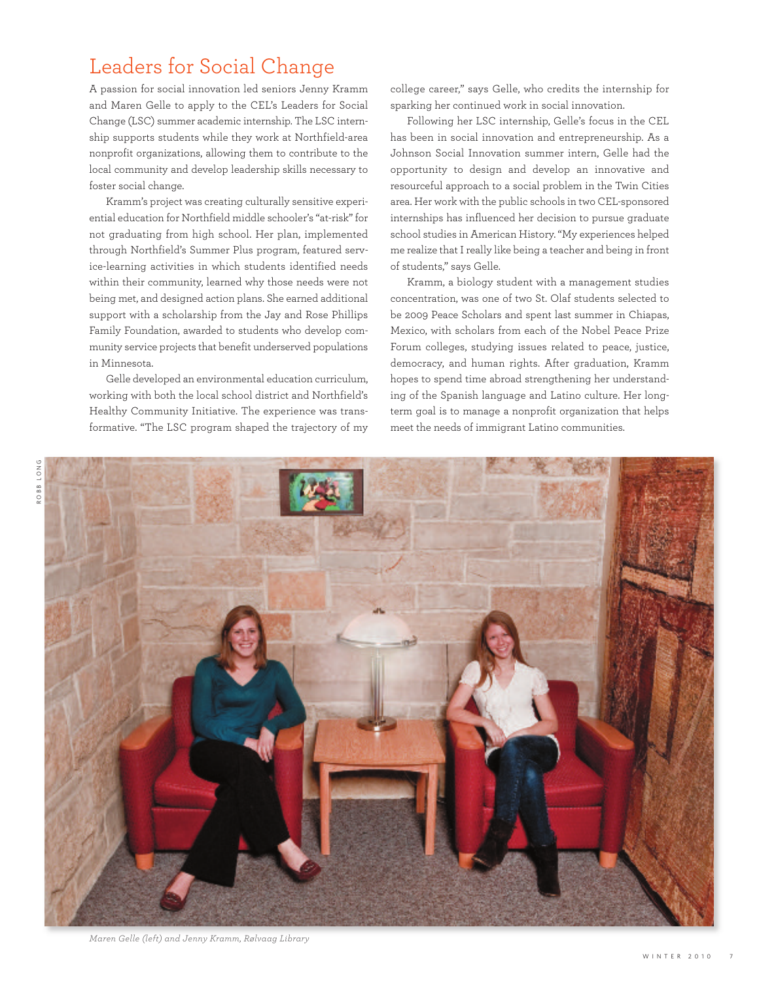#### Leaders for Social Change

A passion for social innovation led seniors Jenny Kramm and Maren Gelle to apply to the CEL's Leaders for Social Change (LSC) summer academic internship. The LSC internship supports students while they work at Northfield-area nonprofit organizations, allowing them to contribute to the local community and develop leadership skills necessary to foster social change.

Kramm's project was creating culturally sensitive experiential education for Northfield middle schooler's "at-risk" for not graduating from high school. Her plan, implemented through Northfield's Summer Plus program, featured service-learning activities in which students identified needs within their community, learned why those needs were not being met, and designed action plans. She earned additional support with a scholarship from the Jay and Rose Phillips Family Foundation, awarded to students who develop community service projects that benefit underserved populations in Minnesota.

Gelle developed an environmental education curriculum, working with both the local school district and Northfield's Healthy Community Initiative. The experience was transformative. "The LSC program shaped the trajectory of my college career," says Gelle, who credits the internship for sparking her continued work in social innovation.

Following her LSC internship, Gelle's focus in the CEL has been in social innovation and entrepreneurship. As a Johnson Social Innovation summer intern, Gelle had the opportunity to design and develop an innovative and resourceful approach to a social problem in the Twin Cities area. Her work with the public schools in two CEL-sponsored internships has influenced her decision to pursue graduate school studies in American History. "My experiences helped me realize that I really like being a teacher and being in front of students," says Gelle.

Kramm, a biology student with a management studies concentration, was one of two St. Olaf students selected to be 2009 Peace Scholars and spent last summer in Chiapas, Mexico, with scholars from each of the Nobel Peace Prize Forum colleges, studying issues related to peace, justice, democracy, and human rights. After graduation, Kramm hopes to spend time abroad strengthening her understanding of the Spanish language and Latino culture. Her longterm goal is to manage a nonprofit organization that helps meet the needs of immigrant Latino communities.



*Maren Gelle (left) and Jenny Kramm, Rølvaag Library*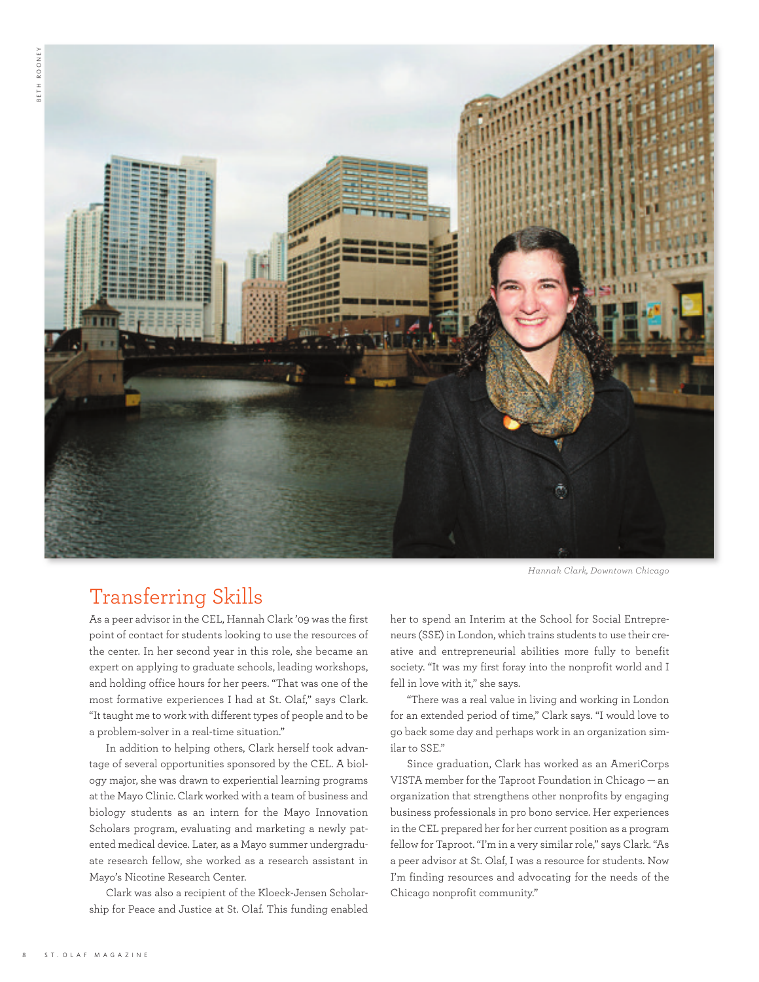

*Hannah Clark, Downtown Chicago*

#### Transferring Skills

As a peer advisor in the CEL, Hannah Clark '09 was the first point of contact for students looking to use the resources of the center. In her second year in this role, she became an expert on applying to graduate schools, leading workshops, and holding office hours for her peers. "That was one of the most formative experiences I had at St. Olaf," says Clark. "It taught me to work with different types of people and to be a problem-solver in a real-time situation."

In addition to helping others, Clark herself took advantage of several opportunities sponsored by the CEL. A biology major, she was drawn to experiential learning programs at the Mayo Clinic. Clark worked with a team of business and biology students as an intern for the Mayo Innovation Scholars program, evaluating and marketing a newly patented medical device. Later, as a Mayo summer undergraduate research fellow, she worked as a research assistant in Mayo's Nicotine Research Center.

Clark was also a recipient of the Kloeck-Jensen Scholarship for Peace and Justice at St. Olaf. This funding enabled

her to spend an Interim at the School for Social Entrepreneurs (SSE) in London, which trains students to use their creative and entrepreneurial abilities more fully to benefit society. "It was my first foray into the nonprofit world and I fell in love with it," she says.

"There was a real value in living and working in London for an extended period of time," Clark says. "I would love to go back some day and perhaps work in an organization similar to SSE."

Since graduation, Clark has worked as an AmeriCorps VISTA member for the Taproot Foundation in Chicago — an organization that strengthens other nonprofits by engaging business professionals in pro bono service. Her experiences in the CEL prepared her for her current position as a program fellow for Taproot. "I'm in a very similar role," says Clark. "As a peer advisor at St. Olaf, I was a resource for students. Now I'm finding resources and advocating for the needs of the Chicago nonprofit community."